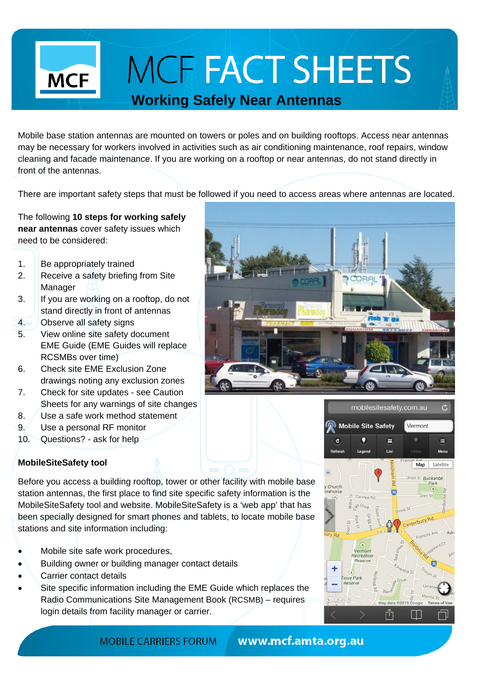# **MCF FACT SHEETS**

### **Working Safely Near Antennas**

Mobile base station antennas are mounted on towers or poles and on building rooftops. Access near antennas may be necessary for workers involved in activities such as air conditioning maintenance, roof repairs, window cleaning and facade maintenance. If you are working on a rooftop or near antennas, do not stand directly in front of the antennas.

There are important safety steps that must be followed if you need to access areas where antennas are located.

The following **10 steps for working safely near antennas** cover safety issues which need to be considered:

1. Be appropriately trained

**MCF** 

- 2. Receive a safety briefing from Site Manager
- 3. If you are working on a rooftop, do not stand directly in front of antennas
- 4. Observe all safety signs
- 5. View online site safety document EME Guide (EME Guides will replace RCSMBs over time)
- 6. Check site EME Exclusion Zone drawings noting any exclusion zones
- 7. Check for site updates see Caution Sheets for any warnings of site changes
- 8. Use a safe work method statement
- 9. Use a personal RF monitor
- 10. Questions? ask for help

### **MobileSiteSafety tool**

Before you access a building rooftop, tower or other facility with mobile base station antennas, the first place to find site specific safety information is the MobileSiteSafety tool and website. MobileSiteSafety is a 'web app' that has been specially designed for smart phones and tablets, to locate mobile base stations and site information including:

- Mobile site safe work procedures,
- Building owner or building manager contact details
- Carrier contact details
- Site specific information including the EME Guide which replaces the Radio Communications Site Management Book (RCSMB) – requires login details from facility manager or carrier.





mobilesitesafety.com.au